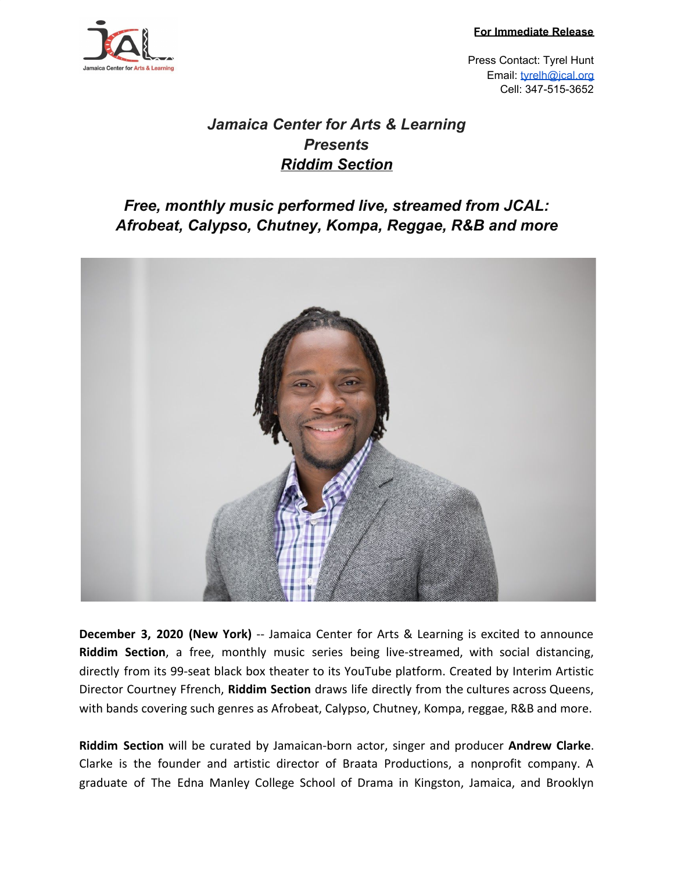**For Immediate Release**



Press Contact: Tyrel Hunt Email: [tyrelh@jcal.org](mailto:tyrelh@jcal.org) Cell: 347-515-3652

## *Jamaica Center for Arts & Learning Presents Riddim Section*

## *Free, monthly music performed live, streamed from JCAL: Afrobeat, Calypso, Chutney, Kompa, Reggae, R&B and more*



**December 3, 2020 (New York)** -- Jamaica Center for Arts & Learning is excited to announce **Riddim Section**, a free, monthly music series being live-streamed, with social distancing, directly from its 99-seat black box theater to its YouTube platform. Created by Interim Artistic Director Courtney Ffrench, **Riddim Section** draws life directly from the cultures across Queens, with bands covering such genres as Afrobeat, Calypso, Chutney, Kompa, reggae, R&B and more.

**Riddim Section** will be curated by Jamaican-born actor, singer and producer **Andrew Clarke**. Clarke is the founder and artistic director of Braata Productions, a nonprofit company. A graduate of The Edna Manley College School of Drama in Kingston, Jamaica, and Brooklyn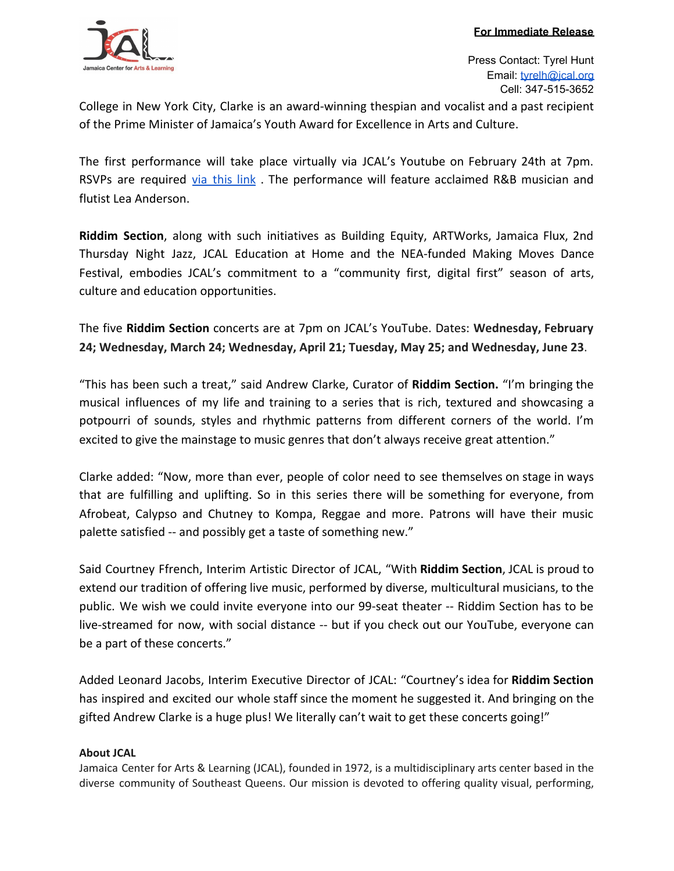

College in New York City, Clarke is an award-winning thespian and vocalist and a past recipient of the Prime Minister of Jamaica's Youth Award for Excellence in Arts and Culture.

The first performance will take place virtually via JCAL's Youtube on February 24th at 7pm. RSVPs are required via [this](https://jcal.meeter-app.com/event/Gi7Yue5kLO) link. The performance will feature acclaimed R&B musician and flutist Lea Anderson.

**Riddim Section**, along with such initiatives as Building Equity, ARTWorks, Jamaica Flux, 2nd Thursday Night Jazz, JCAL Education at Home and the NEA-funded Making Moves Dance Festival, embodies JCAL's commitment to a "community first, digital first" season of arts, culture and education opportunities.

The five **Riddim Section** concerts are at 7pm on JCAL's YouTube. Dates: **Wednesday, February 24; Wednesday, March 24; Wednesday, April 21; Tuesday, May 25; and Wednesday, June 23**.

"This has been such a treat," said Andrew Clarke, Curator of **Riddim Section.** "I'm bringing the musical influences of my life and training to a series that is rich, textured and showcasing a potpourri of sounds, styles and rhythmic patterns from different corners of the world. I'm excited to give the mainstage to music genres that don't always receive great attention."

Clarke added: "Now, more than ever, people of color need to see themselves on stage in ways that are fulfilling and uplifting. So in this series there will be something for everyone, from Afrobeat, Calypso and Chutney to Kompa, Reggae and more. Patrons will have their music palette satisfied -- and possibly get a taste of something new."

Said Courtney Ffrench, Interim Artistic Director of JCAL, "With **Riddim Section**, JCAL is proud to extend our tradition of offering live music, performed by diverse, multicultural musicians, to the public. We wish we could invite everyone into our 99-seat theater -- Riddim Section has to be live-streamed for now, with social distance -- but if you check out our YouTube, everyone can be a part of these concerts."

Added Leonard Jacobs, Interim Executive Director of JCAL: "Courtney's idea for **Riddim Section** has inspired and excited our whole staff since the moment he suggested it. And bringing on the gifted Andrew Clarke is a huge plus! We literally can't wait to get these concerts going!"

## **About JCAL**

Jamaica Center for Arts & Learning (JCAL), founded in 1972, is a multidisciplinary arts center based in the diverse community of Southeast Queens. Our mission is devoted to offering quality visual, performing,